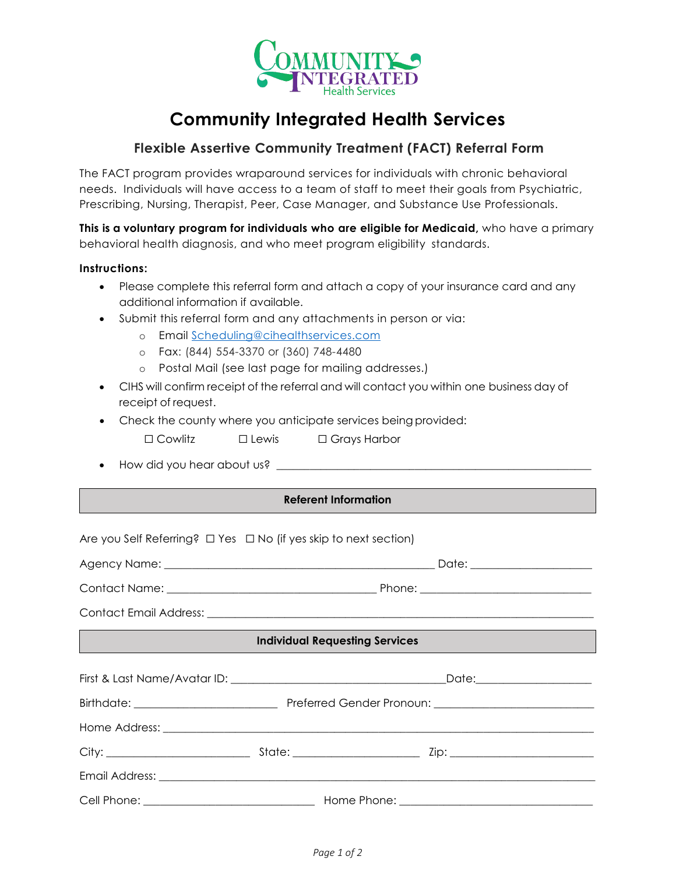

## **Community Integrated Health Services**

## **Flexible Assertive Community Treatment (FACT) Referral Form**

The FACT program provides wraparound services for individuals with chronic behavioral needs. Individuals will have access to a team of staff to meet their goals from Psychiatric, Prescribing, Nursing, Therapist, Peer, Case Manager, and Substance Use Professionals.

**This is a voluntary program for individuals who are eligible for Medicaid,** who have a primary behavioral health diagnosis, and who meet program eligibility standards.

## **Instructions:**

- Please complete this referral form and attach a copy of your insurance card and any additional information if available.
- Submit this referral form and any attachments in person or via:
	- o Email [Scheduling@cihealthservices.com](mailto:Scheduling@cihealthservices.com)
	- o Fax: (844) 554-3370 or (360) 748-4480
	- o Postal Mail (see last page for mailing addresses.)
- CIHS will confirm receipt of the referral and will contact you within one business day of receipt of request.
- Check the county where you anticipate services being provided:
	- ☐ Cowlitz ☐ Lewis ☐ Grays Harbor
- How did you hear about us? \_\_\_\_\_\_\_\_\_\_\_\_\_\_\_\_\_\_\_\_\_\_\_\_\_\_\_\_\_\_\_\_\_\_\_\_\_\_\_\_\_\_\_\_\_\_\_\_\_\_\_\_\_\_\_\_\_

## **Referent Information**

Are you Self Referring? □ Yes □ No (if yes skip to next section) Agency Name: \_\_\_\_\_\_\_\_\_\_\_\_\_\_\_\_\_\_\_\_\_\_\_\_\_\_\_\_\_\_\_\_\_\_\_\_\_\_\_\_\_\_\_\_\_\_\_\_\_ Date: \_\_\_\_\_\_\_\_\_\_\_\_\_\_\_\_\_\_\_\_\_\_ Contact Name: \_\_\_\_\_\_\_\_\_\_\_\_\_\_\_\_\_\_\_\_\_\_\_\_\_\_\_\_\_\_\_\_\_\_\_\_\_\_ Phone: \_\_\_\_\_\_\_\_\_\_\_\_\_\_\_\_\_\_\_\_\_\_\_\_\_\_\_\_\_\_\_ Contact Email Address: **Individual Requesting Services** First & Last Name/Avatar ID: \_\_\_\_\_\_\_\_\_\_\_\_\_\_\_\_\_\_\_\_\_\_\_\_\_\_\_\_\_\_\_\_\_\_\_\_\_\_\_Date:\_\_\_\_\_\_\_\_\_\_\_\_\_\_\_\_\_\_\_\_\_ Birthdate: \_\_\_\_\_\_\_\_\_\_\_\_\_\_\_\_\_\_\_\_\_\_\_\_\_\_ Preferred Gender Pronoun: \_\_\_\_\_\_\_\_\_\_\_\_\_\_\_\_\_\_\_\_\_\_\_\_\_\_\_\_\_ Home Address: \_\_\_\_\_\_\_\_\_\_\_\_\_\_\_\_\_\_\_\_\_\_\_\_\_\_\_\_\_\_\_\_\_\_\_\_\_\_\_\_\_\_\_\_\_\_\_\_\_\_\_\_\_\_\_\_\_\_\_\_\_\_\_\_\_\_\_\_\_\_\_\_\_\_\_\_\_\_ City: \_\_\_\_\_\_\_\_\_\_\_\_\_\_\_\_\_\_\_\_\_\_\_\_\_\_ State: \_\_\_\_\_\_\_\_\_\_\_\_\_\_\_\_\_\_\_\_\_\_\_ Zip: \_\_\_\_\_\_\_\_\_\_\_\_\_\_\_\_\_\_\_\_\_\_\_\_\_\_ Email Address: \_\_\_\_\_\_\_\_\_\_\_\_\_\_\_\_\_\_\_\_\_\_\_\_\_\_\_\_\_\_\_\_\_\_\_\_\_\_\_\_\_\_\_\_\_\_\_\_\_\_\_\_\_\_\_\_\_\_\_\_\_\_\_\_\_\_\_\_\_\_\_\_\_\_\_\_\_\_\_ Cell Phone: \_\_\_\_\_\_\_\_\_\_\_\_\_\_\_\_\_\_\_\_\_\_\_\_\_\_\_\_\_\_\_ Home Phone: \_\_\_\_\_\_\_\_\_\_\_\_\_\_\_\_\_\_\_\_\_\_\_\_\_\_\_\_\_\_\_\_\_\_\_